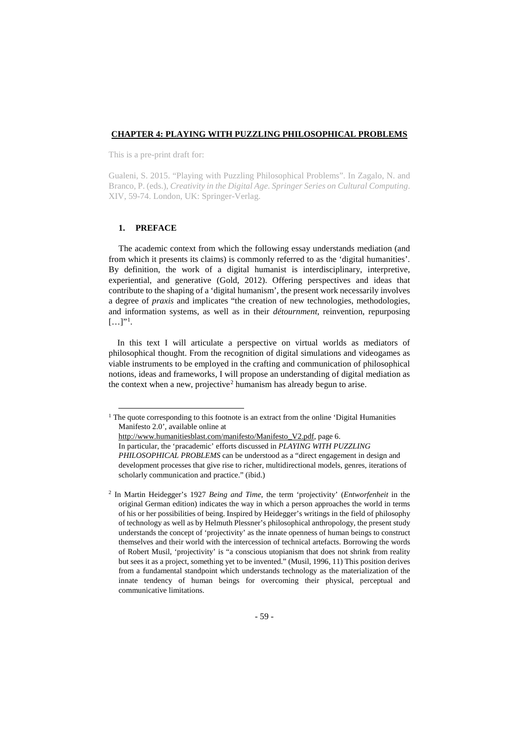## **CHAPTER 4: PLAYING WITH PUZZLING PHILOSOPHICAL PROBLEMS**

This is a pre-print draft for:

Gualeni, S. 2015. "Playing with Puzzling Philosophical Problems". In Zagalo, N. and Branco, P. (eds.), *Creativity in the Digital Age. Springer Series on Cultural Computing*. XIV, 59-74. London, UK: Springer-Verlag.

# **1. PREFACE**

The academic context from which the following essay understands mediation (and from which it presents its claims) is commonly referred to as the 'digital humanities'. By definition, the work of a digital humanist is interdisciplinary, interpretive, experiential, and generative (Gold, 2012). Offering perspectives and ideas that contribute to the shaping of a 'digital humanism', the present work necessarily involves a degree of *praxis* and implicates "the creation of new technologies, methodologies, and information systems, as well as in their *détournment*, reinvention, repurposing  $[\ldots]^{n}$ <sup>[1](#page-0-0)</sup>.

In this text I will articulate a perspective on virtual worlds as mediators of philosophical thought. From the recognition of digital simulations and videogames as viable instruments to be employed in the crafting and communication of philosophical notions, ideas and frameworks, I will propose an understanding of digital mediation as the context when a new, projective<sup>[2](#page-0-1)</sup> humanism has already begun to arise.

<span id="page-0-0"></span> $1$ <sup>1</sup> The quote corresponding to this footnote is an extract from the online 'Digital Humanities Manifesto 2.0', available online at

http://www.humanitiesblast.com/manifesto/Manifesto\_V2.pdf, page 6.

In particular, the 'pracademic' efforts discussed in *PLAYING WITH PUZZLING PHILOSOPHICAL PROBLEMS* can be understood as a "direct engagement in design and development processes that give rise to richer, multidirectional models, genres, iterations of scholarly communication and practice." (ibid.)

<span id="page-0-1"></span><sup>2</sup> In Martin Heidegger's 1927 *Being and Time*, the term 'projectivity' (*Entworfenheit* in the original German edition) indicates the way in which a person approaches the world in terms of his or her possibilities of being. Inspired by Heidegger's writings in the field of philosophy of technology as well as by Helmuth Plessner's philosophical anthropology, the present study understands the concept of 'projectivity' as the innate openness of human beings to construct themselves and their world with the intercession of technical artefacts. Borrowing the words of Robert Musil, 'projectivity' is "a conscious utopianism that does not shrink from reality but sees it as a project, something yet to be invented." (Musil, 1996, 11) This position derives from a fundamental standpoint which understands technology as the materialization of the innate tendency of human beings for overcoming their physical, perceptual and communicative limitations.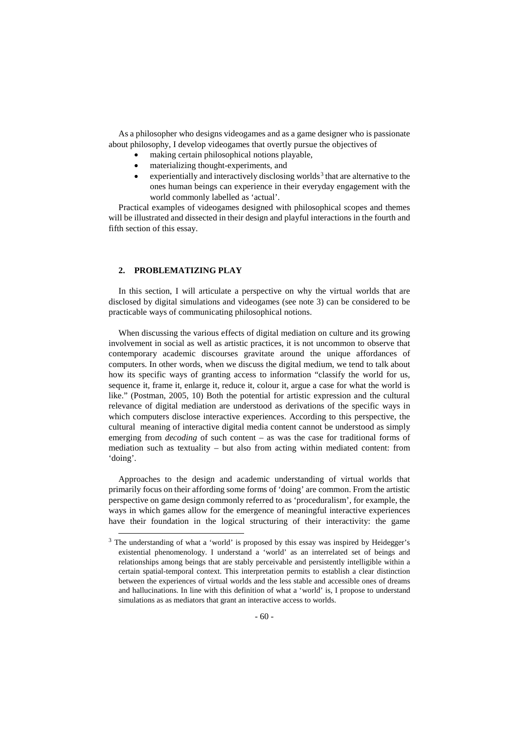As a philosopher who designs videogames and as a game designer who is passionate about philosophy, I develop videogames that overtly pursue the objectives of

- making certain philosophical notions playable,
- materializing thought-experiments, and
- experientially and interactively disclosing worlds<sup>[3](#page-1-0)</sup> that are alternative to the ones human beings can experience in their everyday engagement with the world commonly labelled as 'actual'.

Practical examples of videogames designed with philosophical scopes and themes will be illustrated and dissected in their design and playful interactions in the fourth and fifth section of this essay.

## **2. PROBLEMATIZING PLAY**

In this section, I will articulate a perspective on why the virtual worlds that are disclosed by digital simulations and videogames (see note 3) can be considered to be practicable ways of communicating philosophical notions.

When discussing the various effects of digital mediation on culture and its growing involvement in social as well as artistic practices, it is not uncommon to observe that contemporary academic discourses gravitate around the unique affordances of computers. In other words, when we discuss the digital medium, we tend to talk about how its specific ways of granting access to information "classify the world for us, sequence it, frame it, enlarge it, reduce it, colour it, argue a case for what the world is like." (Postman, 2005, 10) Both the potential for artistic expression and the cultural relevance of digital mediation are understood as derivations of the specific ways in which computers disclose interactive experiences. According to this perspective, the cultural meaning of interactive digital media content cannot be understood as simply emerging from *decoding* of such content – as was the case for traditional forms of mediation such as textuality – but also from acting within mediated content: from 'doing'.

Approaches to the design and academic understanding of virtual worlds that primarily focus on their affording some forms of 'doing' are common. From the artistic perspective on game design commonly referred to as 'proceduralism', for example, the ways in which games allow for the emergence of meaningful interactive experiences have their foundation in the logical structuring of their interactivity: the game

<span id="page-1-0"></span><sup>&</sup>lt;sup>3</sup> The understanding of what a 'world' is proposed by this essay was inspired by Heidegger's existential phenomenology. I understand a 'world' as an interrelated set of beings and relationships among beings that are stably perceivable and persistently intelligible within a certain spatial-temporal context. This interpretation permits to establish a clear distinction between the experiences of virtual worlds and the less stable and accessible ones of dreams and hallucinations. In line with this definition of what a 'world' is, I propose to understand simulations as as mediators that grant an interactive access to worlds.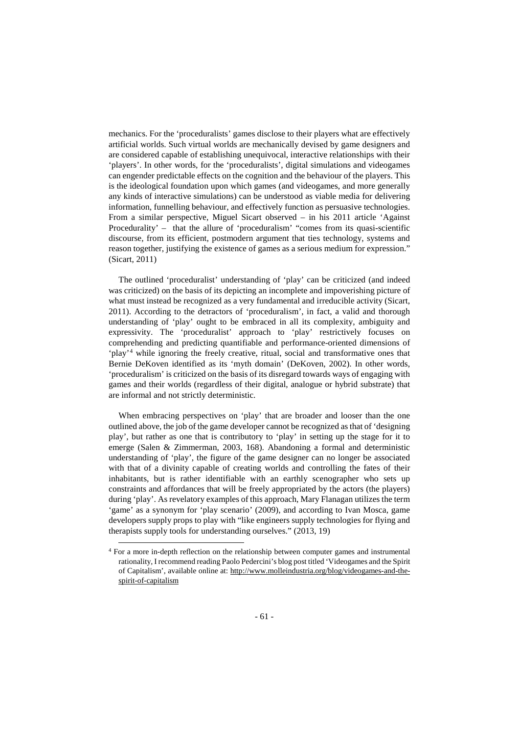mechanics. For the 'proceduralists' games disclose to their players what are effectively artificial worlds. Such virtual worlds are mechanically devised by game designers and are considered capable of establishing unequivocal, interactive relationships with their 'players'. In other words, for the 'proceduralists', digital simulations and videogames can engender predictable effects on the cognition and the behaviour of the players. This is the ideological foundation upon which games (and videogames, and more generally any kinds of interactive simulations) can be understood as viable media for delivering information, funnelling behaviour, and effectively function as persuasive technologies. From a similar perspective, Miguel Sicart observed – in his 2011 article 'Against Procedurality' – that the allure of 'proceduralism' "comes from its quasi-scientific discourse, from its efficient, postmodern argument that ties technology, systems and reason together, justifying the existence of games as a serious medium for expression." (Sicart, 2011)

The outlined 'proceduralist' understanding of 'play' can be criticized (and indeed was criticized) on the basis of its depicting an incomplete and impoverishing picture of what must instead be recognized as a very fundamental and irreducible activity (Sicart, 2011). According to the detractors of 'proceduralism', in fact, a valid and thorough understanding of 'play' ought to be embraced in all its complexity, ambiguity and expressivity. The 'proceduralist' approach to 'play' restrictively focuses on comprehending and predicting quantifiable and performance-oriented dimensions of 'play'[4](#page-2-0) while ignoring the freely creative, ritual, social and transformative ones that Bernie DeKoven identified as its 'myth domain' (DeKoven, 2002). In other words, 'proceduralism' is criticized on the basis of its disregard towards ways of engaging with games and their worlds (regardless of their digital, analogue or hybrid substrate) that are informal and not strictly deterministic.

When embracing perspectives on 'play' that are broader and looser than the one outlined above, the job of the game developer cannot be recognized as that of 'designing play', but rather as one that is contributory to 'play' in setting up the stage for it to emerge (Salen & Zimmerman, 2003, 168). Abandoning a formal and deterministic understanding of 'play', the figure of the game designer can no longer be associated with that of a divinity capable of creating worlds and controlling the fates of their inhabitants, but is rather identifiable with an earthly scenographer who sets up constraints and affordances that will be freely appropriated by the actors (the players) during 'play'. As revelatory examples of this approach, Mary Flanagan utilizes the term 'game' as a synonym for 'play scenario' (2009), and according to Ivan Mosca, game developers supply props to play with "like engineers supply technologies for flying and therapists supply tools for understanding ourselves." (2013, 19)

<span id="page-2-0"></span> <sup>4</sup> For a more in-depth reflection on the relationship between computer games and instrumental rationality, I recommend reading Paolo Pedercini's blog post titled 'Videogames and the Spirit of Capitalism', available online at: [http://www.molleindustria.org/blog/videogames-and-the](http://www.molleindustria.org/blog/videogames-and-the-spirit-of-capitalism)[spirit-of-capitalism](http://www.molleindustria.org/blog/videogames-and-the-spirit-of-capitalism)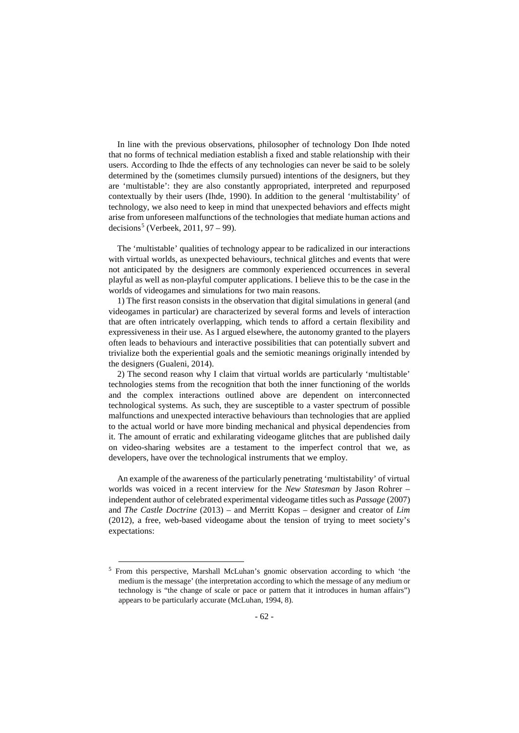In line with the previous observations, philosopher of technology Don Ihde noted that no forms of technical mediation establish a fixed and stable relationship with their users. According to Ihde the effects of any technologies can never be said to be solely determined by the (sometimes clumsily pursued) intentions of the designers, but they are 'multistable': they are also constantly appropriated, interpreted and repurposed contextually by their users (Ihde, 1990). In addition to the general 'multistability' of technology, we also need to keep in mind that unexpected behaviors and effects might arise from unforeseen malfunctions of the technologies that mediate human actions and decisions<sup>[5](#page-3-0)</sup> (Verbeek, 2011, 97 – 99).

The 'multistable' qualities of technology appear to be radicalized in our interactions with virtual worlds, as unexpected behaviours, technical glitches and events that were not anticipated by the designers are commonly experienced occurrences in several playful as well as non-playful computer applications. I believe this to be the case in the worlds of videogames and simulations for two main reasons.

1) The first reason consists in the observation that digital simulations in general (and videogames in particular) are characterized by several forms and levels of interaction that are often intricately overlapping, which tends to afford a certain flexibility and expressiveness in their use. As I argued elsewhere, the autonomy granted to the players often leads to behaviours and interactive possibilities that can potentially subvert and trivialize both the experiential goals and the semiotic meanings originally intended by the designers (Gualeni, 2014).

2) The second reason why I claim that virtual worlds are particularly 'multistable' technologies stems from the recognition that both the inner functioning of the worlds and the complex interactions outlined above are dependent on interconnected technological systems. As such, they are susceptible to a vaster spectrum of possible malfunctions and unexpected interactive behaviours than technologies that are applied to the actual world or have more binding mechanical and physical dependencies from it. The amount of erratic and exhilarating videogame glitches that are published daily on video-sharing websites are a testament to the imperfect control that we, as developers, have over the technological instruments that we employ.

An example of the awareness of the particularly penetrating 'multistability' of virtual worlds was voiced in a recent interview for the *New Statesman* by Jason Rohrer – independent author of celebrated experimental videogame titles such as *Passage* (2007) and *The Castle Doctrine* (2013) *–* and Merritt Kopas – designer and creator of *Lim* (2012), a free, web-based videogame about the tension of trying to meet society's expectations:

<span id="page-3-0"></span> <sup>5</sup> From this perspective, Marshall McLuhan's gnomic observation according to which 'the medium is the message' (the interpretation according to which the message of any medium or technology is "the change of scale or pace or pattern that it introduces in human affairs") appears to be particularly accurate (McLuhan, 1994, 8).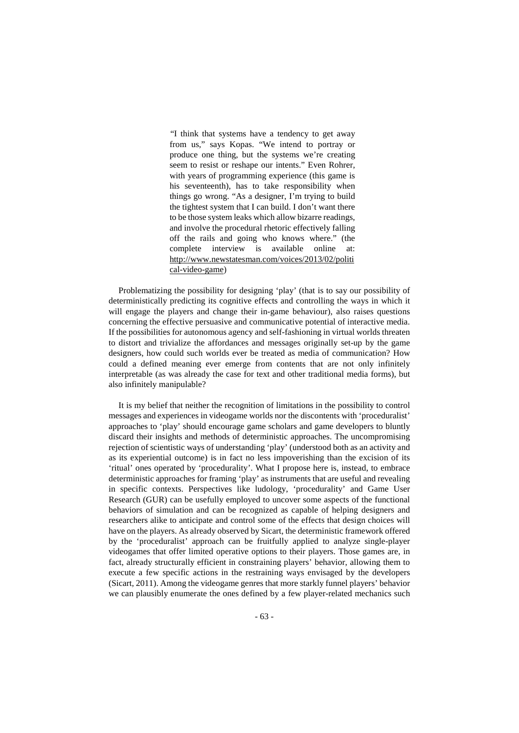"I think that systems have a tendency to get away from us," says Kopas. "We intend to portray or produce one thing, but the systems we're creating seem to resist or reshape our intents." Even Rohrer, with years of programming experience (this game is his seventeenth), has to take responsibility when things go wrong. "As a designer, I'm trying to build the tightest system that I can build. I don't want there to be those system leaks which allow bizarre readings, and involve the procedural rhetoric effectively falling off the rails and going who knows where." (the complete interview is available online at: [http://www.newstatesman.com/voices/2013/02/politi](http://www.newstatesman.com/voices/2013/02/political-video-game) [cal-video-game\)](http://www.newstatesman.com/voices/2013/02/political-video-game)

Problematizing the possibility for designing 'play' (that is to say our possibility of deterministically predicting its cognitive effects and controlling the ways in which it will engage the players and change their in-game behaviour), also raises questions concerning the effective persuasive and communicative potential of interactive media. If the possibilities for autonomous agency and self-fashioning in virtual worlds threaten to distort and trivialize the affordances and messages originally set-up by the game designers, how could such worlds ever be treated as media of communication? How could a defined meaning ever emerge from contents that are not only infinitely interpretable (as was already the case for text and other traditional media forms), but also infinitely manipulable?

It is my belief that neither the recognition of limitations in the possibility to control messages and experiences in videogame worlds nor the discontents with 'proceduralist' approaches to 'play' should encourage game scholars and game developers to bluntly discard their insights and methods of deterministic approaches. The uncompromising rejection of scientistic ways of understanding 'play' (understood both as an activity and as its experiential outcome) is in fact no less impoverishing than the excision of its 'ritual' ones operated by 'procedurality'. What I propose here is, instead, to embrace deterministic approaches for framing 'play' as instruments that are useful and revealing in specific contexts. Perspectives like ludology, 'procedurality' and Game User Research (GUR) can be usefully employed to uncover some aspects of the functional behaviors of simulation and can be recognized as capable of helping designers and researchers alike to anticipate and control some of the effects that design choices will have on the players. As already observed by Sicart, the deterministic framework offered by the 'proceduralist' approach can be fruitfully applied to analyze single-player videogames that offer limited operative options to their players. Those games are, in fact, already structurally efficient in constraining players' behavior, allowing them to execute a few specific actions in the restraining ways envisaged by the developers (Sicart, 2011). Among the videogame genres that more starkly funnel players' behavior we can plausibly enumerate the ones defined by a few player-related mechanics such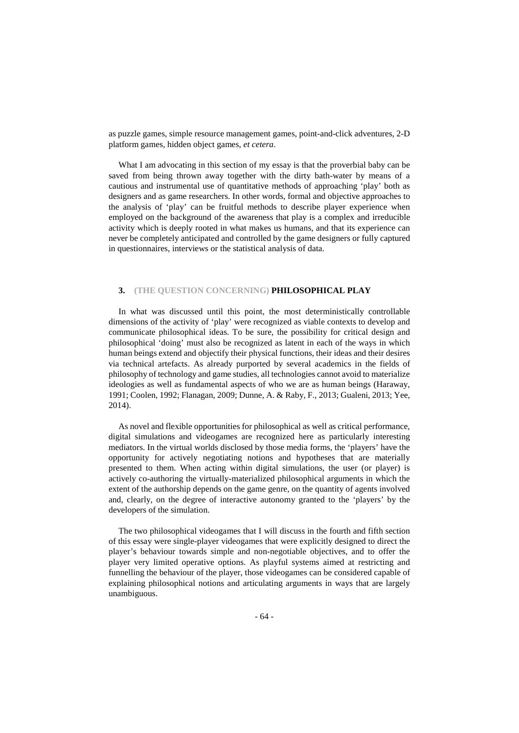as puzzle games, simple resource management games, point-and-click adventures, 2-D platform games, hidden object games, *et cetera*.

What I am advocating in this section of my essay is that the proverbial baby can be saved from being thrown away together with the dirty bath-water by means of a cautious and instrumental use of quantitative methods of approaching 'play' both as designers and as game researchers. In other words, formal and objective approaches to the analysis of 'play' can be fruitful methods to describe player experience when employed on the background of the awareness that play is a complex and irreducible activity which is deeply rooted in what makes us humans, and that its experience can never be completely anticipated and controlled by the game designers or fully captured in questionnaires, interviews or the statistical analysis of data.

## **3. (THE QUESTION CONCERNING) PHILOSOPHICAL PLAY**

In what was discussed until this point, the most deterministically controllable dimensions of the activity of 'play' were recognized as viable contexts to develop and communicate philosophical ideas. To be sure, the possibility for critical design and philosophical 'doing' must also be recognized as latent in each of the ways in which human beings extend and objectify their physical functions, their ideas and their desires via technical artefacts. As already purported by several academics in the fields of philosophy of technology and game studies, all technologies cannot avoid to materialize ideologies as well as fundamental aspects of who we are as human beings (Haraway, 1991; Coolen, 1992; Flanagan, 2009; Dunne, A. & Raby, F., 2013; Gualeni, 2013; Yee, 2014).

As novel and flexible opportunities for philosophical as well as critical performance, digital simulations and videogames are recognized here as particularly interesting mediators. In the virtual worlds disclosed by those media forms, the 'players' have the opportunity for actively negotiating notions and hypotheses that are materially presented to them. When acting within digital simulations, the user (or player) is actively co-authoring the virtually-materialized philosophical arguments in which the extent of the authorship depends on the game genre, on the quantity of agents involved and, clearly, on the degree of interactive autonomy granted to the 'players' by the developers of the simulation.

The two philosophical videogames that I will discuss in the fourth and fifth section of this essay were single-player videogames that were explicitly designed to direct the player's behaviour towards simple and non-negotiable objectives, and to offer the player very limited operative options. As playful systems aimed at restricting and funnelling the behaviour of the player, those videogames can be considered capable of explaining philosophical notions and articulating arguments in ways that are largely unambiguous.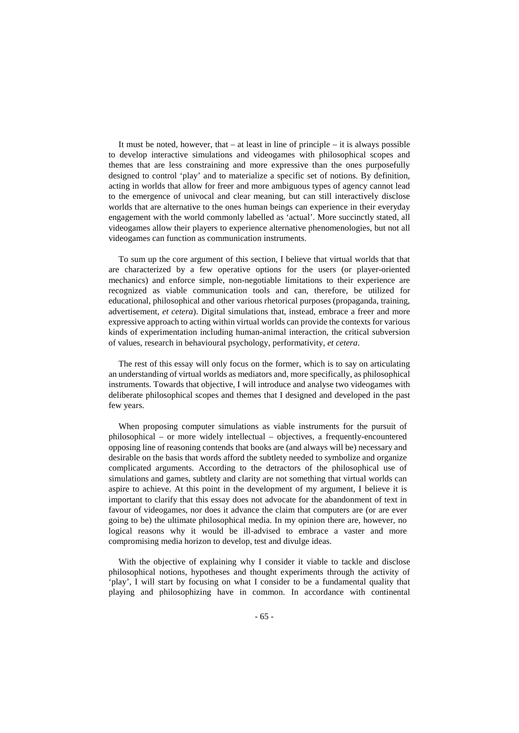It must be noted, however, that  $-$  at least in line of principle  $-$  it is always possible to develop interactive simulations and videogames with philosophical scopes and themes that are less constraining and more expressive than the ones purposefully designed to control 'play' and to materialize a specific set of notions. By definition, acting in worlds that allow for freer and more ambiguous types of agency cannot lead to the emergence of univocal and clear meaning, but can still interactively disclose worlds that are alternative to the ones human beings can experience in their everyday engagement with the world commonly labelled as 'actual'. More succinctly stated, all videogames allow their players to experience alternative phenomenologies, but not all videogames can function as communication instruments.

To sum up the core argument of this section, I believe that virtual worlds that that are characterized by a few operative options for the users (or player-oriented mechanics) and enforce simple, non-negotiable limitations to their experience are recognized as viable communication tools and can, therefore, be utilized for educational, philosophical and other various rhetorical purposes (propaganda, training, advertisement, *et cetera*). Digital simulations that, instead, embrace a freer and more expressive approach to acting within virtual worlds can provide the contexts for various kinds of experimentation including human-animal interaction, the critical subversion of values, research in behavioural psychology, performativity, *et cetera*.

The rest of this essay will only focus on the former, which is to say on articulating an understanding of virtual worlds as mediators and, more specifically, as philosophical instruments. Towards that objective, I will introduce and analyse two videogames with deliberate philosophical scopes and themes that I designed and developed in the past few years.

When proposing computer simulations as viable instruments for the pursuit of philosophical – or more widely intellectual – objectives, a frequently-encountered opposing line of reasoning contends that books are (and always will be) necessary and desirable on the basis that words afford the subtlety needed to symbolize and organize complicated arguments. According to the detractors of the philosophical use of simulations and games, subtlety and clarity are not something that virtual worlds can aspire to achieve. At this point in the development of my argument, I believe it is important to clarify that this essay does not advocate for the abandonment of text in favour of videogames, nor does it advance the claim that computers are (or are ever going to be) the ultimate philosophical media. In my opinion there are, however, no logical reasons why it would be ill-advised to embrace a vaster and more compromising media horizon to develop, test and divulge ideas.

With the objective of explaining why I consider it viable to tackle and disclose philosophical notions, hypotheses and thought experiments through the activity of 'play', I will start by focusing on what I consider to be a fundamental quality that playing and philosophizing have in common. In accordance with continental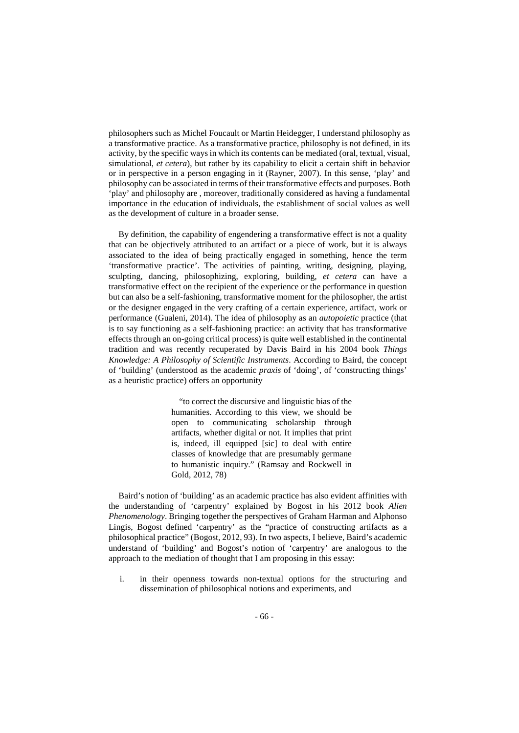philosophers such as Michel Foucault or Martin Heidegger, I understand philosophy as a transformative practice. As a transformative practice, philosophy is not defined, in its activity, by the specific ways in which its contents can be mediated (oral, textual, visual, simulational, *et cetera*), but rather by its capability to elicit a certain shift in behavior or in perspective in a person engaging in it (Rayner, 2007). In this sense, 'play' and philosophy can be associated in terms of their transformative effects and purposes. Both 'play' and philosophy are , moreover, traditionally considered as having a fundamental importance in the education of individuals, the establishment of social values as well as the development of culture in a broader sense.

By definition, the capability of engendering a transformative effect is not a quality that can be objectively attributed to an artifact or a piece of work, but it is always associated to the idea of being practically engaged in something, hence the term 'transformative practice'. The activities of painting, writing, designing, playing, sculpting, dancing, philosophizing, exploring, building, *et cetera* can have a transformative effect on the recipient of the experience or the performance in question but can also be a self-fashioning, transformative moment for the philosopher, the artist or the designer engaged in the very crafting of a certain experience, artifact, work or performance (Gualeni, 2014). The idea of philosophy as an *autopoietic* practice (that is to say functioning as a self-fashioning practice: an activity that has transformative effects through an on-going critical process) is quite well established in the continental tradition and was recently recuperated by Davis Baird in his 2004 book *Things Knowledge: A Philosophy of Scientific Instruments*. According to Baird, the concept of 'building' (understood as the academic *praxis* of 'doing', of 'constructing things' as a heuristic practice) offers an opportunity

> "to correct the discursive and linguistic bias of the humanities. According to this view, we should be open to communicating scholarship through artifacts, whether digital or not. It implies that print is, indeed, ill equipped [sic] to deal with entire classes of knowledge that are presumably germane to humanistic inquiry." (Ramsay and Rockwell in Gold, 2012, 78)

Baird's notion of 'building' as an academic practice has also evident affinities with the understanding of 'carpentry' explained by Bogost in his 2012 book *Alien Phenomenology*. Bringing together the perspectives of Graham Harman and Alphonso Lingis, Bogost defined 'carpentry' as the "practice of constructing artifacts as a philosophical practice" (Bogost, 2012, 93). In two aspects, I believe, Baird's academic understand of 'building' and Bogost's notion of 'carpentry' are analogous to the approach to the mediation of thought that I am proposing in this essay:

i. in their openness towards non-textual options for the structuring and dissemination of philosophical notions and experiments, and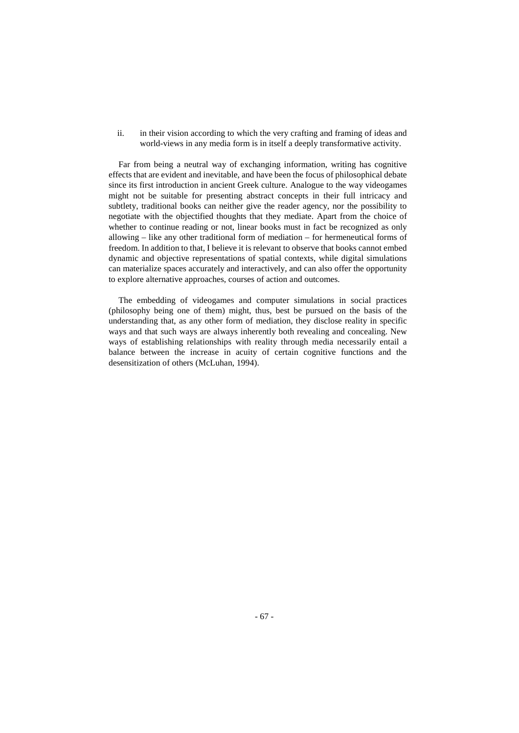ii. in their vision according to which the very crafting and framing of ideas and world-views in any media form is in itself a deeply transformative activity.

Far from being a neutral way of exchanging information, writing has cognitive effects that are evident and inevitable, and have been the focus of philosophical debate since its first introduction in ancient Greek culture. Analogue to the way videogames might not be suitable for presenting abstract concepts in their full intricacy and subtlety, traditional books can neither give the reader agency, nor the possibility to negotiate with the objectified thoughts that they mediate. Apart from the choice of whether to continue reading or not, linear books must in fact be recognized as only allowing – like any other traditional form of mediation – for hermeneutical forms of freedom. In addition to that, I believe it is relevant to observe that books cannot embed dynamic and objective representations of spatial contexts, while digital simulations can materialize spaces accurately and interactively, and can also offer the opportunity to explore alternative approaches, courses of action and outcomes.

The embedding of videogames and computer simulations in social practices (philosophy being one of them) might, thus, best be pursued on the basis of the understanding that, as any other form of mediation, they disclose reality in specific ways and that such ways are always inherently both revealing and concealing. New ways of establishing relationships with reality through media necessarily entail a balance between the increase in acuity of certain cognitive functions and the desensitization of others (McLuhan, 1994).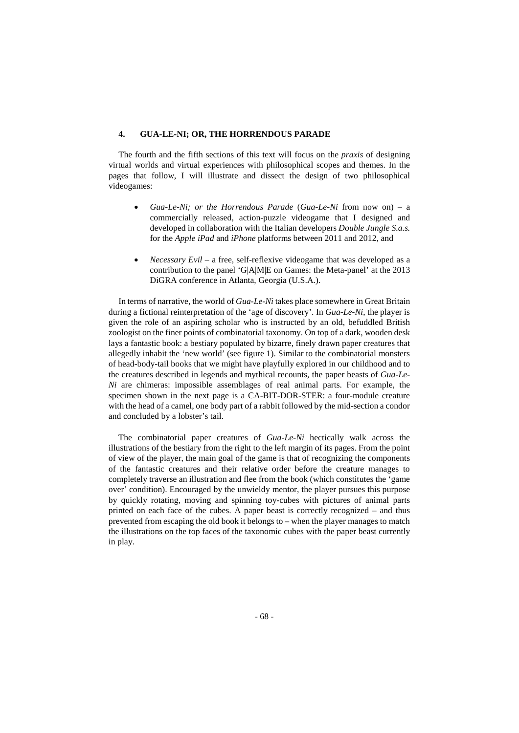#### **4. GUA-LE-NI; OR, THE HORRENDOUS PARADE**

The fourth and the fifth sections of this text will focus on the *praxis* of designing virtual worlds and virtual experiences with philosophical scopes and themes. In the pages that follow, I will illustrate and dissect the design of two philosophical videogames:

- *Gua-Le-Ni; or the Horrendous Parade* (*Gua-Le-Ni* from now on) a commercially released, action-puzzle videogame that I designed and developed in collaboration with the Italian developers *Double Jungle S.a.s.* for the *Apple iPad* and *iPhone* platforms between 2011 and 2012, and
- *Necessary Evil* a free, self-reflexive videogame that was developed as a contribution to the panel 'G|A|M|E on Games: the Meta-panel' at the 2013 DiGRA conference in Atlanta, Georgia (U.S.A.).

In terms of narrative, the world of *Gua-Le-Ni* takes place somewhere in Great Britain during a fictional reinterpretation of the 'age of discovery'. In *Gua-Le-Ni*, the player is given the role of an aspiring scholar who is instructed by an old, befuddled British zoologist on the finer points of combinatorial taxonomy. On top of a dark, wooden desk lays a fantastic book: a bestiary populated by bizarre, finely drawn paper creatures that allegedly inhabit the 'new world' (see figure 1). Similar to the combinatorial monsters of head-body-tail books that we might have playfully explored in our childhood and to the creatures described in legends and mythical recounts, the paper beasts of *Gua-Le-Ni* are chimeras: impossible assemblages of real animal parts. For example, the specimen shown in the next page is a CA-BIT-DOR-STER: a four-module creature with the head of a camel, one body part of a rabbit followed by the mid-section a condor and concluded by a lobster's tail.

The combinatorial paper creatures of *Gua-Le-Ni* hectically walk across the illustrations of the bestiary from the right to the left margin of its pages. From the point of view of the player, the main goal of the game is that of recognizing the components of the fantastic creatures and their relative order before the creature manages to completely traverse an illustration and flee from the book (which constitutes the 'game over' condition). Encouraged by the unwieldy mentor, the player pursues this purpose by quickly rotating, moving and spinning toy-cubes with pictures of animal parts printed on each face of the cubes. A paper beast is correctly recognized – and thus prevented from escaping the old book it belongs to – when the player manages to match the illustrations on the top faces of the taxonomic cubes with the paper beast currently in play.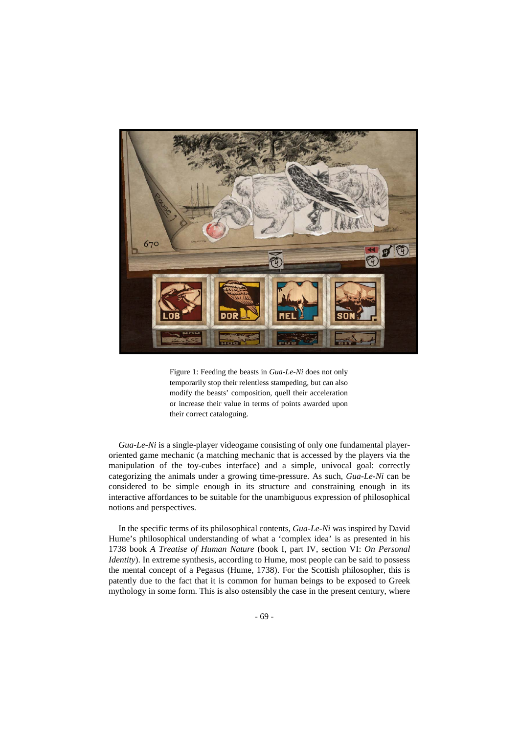

Figure 1: Feeding the beasts in *Gua-Le-Ni* does not only temporarily stop their relentless stampeding, but can also modify the beasts' composition, quell their acceleration or increase their value in terms of points awarded upon their correct cataloguing.

*Gua-Le-Ni* is a single-player videogame consisting of only one fundamental playeroriented game mechanic (a matching mechanic that is accessed by the players via the manipulation of the toy-cubes interface) and a simple, univocal goal: correctly categorizing the animals under a growing time-pressure. As such, *Gua-Le-Ni* can be considered to be simple enough in its structure and constraining enough in its interactive affordances to be suitable for the unambiguous expression of philosophical notions and perspectives.

In the specific terms of its philosophical contents, *Gua-Le-Ni* was inspired by David Hume's philosophical understanding of what a 'complex idea' is as presented in his 1738 book *A Treatise of Human Nature* (book I, part IV, section VI: *On Personal Identity*). In extreme synthesis, according to Hume, most people can be said to possess the mental concept of a Pegasus (Hume, 1738). For the Scottish philosopher, this is patently due to the fact that it is common for human beings to be exposed to Greek mythology in some form. This is also ostensibly the case in the present century, where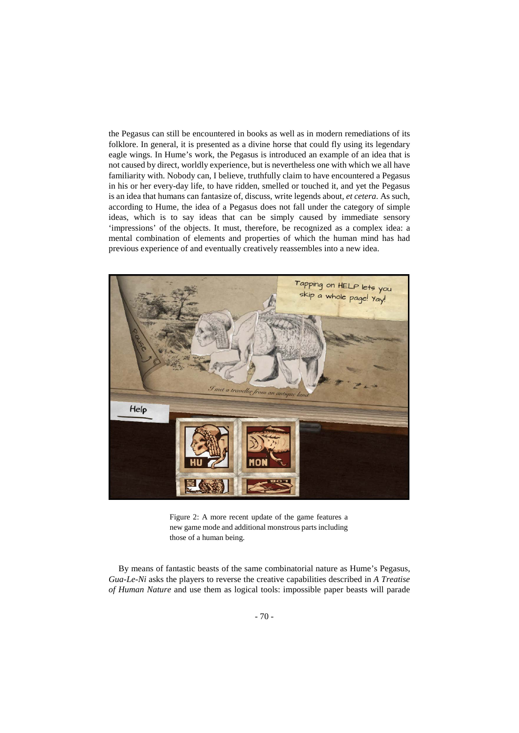the Pegasus can still be encountered in books as well as in modern remediations of its folklore. In general, it is presented as a divine horse that could fly using its legendary eagle wings. In Hume's work, the Pegasus is introduced an example of an idea that is not caused by direct, worldly experience, but is nevertheless one with which we all have familiarity with. Nobody can, I believe, truthfully claim to have encountered a Pegasus in his or her every-day life, to have ridden, smelled or touched it, and yet the Pegasus is an idea that humans can fantasize of, discuss, write legends about, *et cetera*. As such, according to Hume, the idea of a Pegasus does not fall under the category of simple ideas, which is to say ideas that can be simply caused by immediate sensory 'impressions' of the objects. It must, therefore, be recognized as a complex idea: a mental combination of elements and properties of which the human mind has had previous experience of and eventually creatively reassembles into a new idea.



Figure 2: A more recent update of the game features a new game mode and additional monstrous parts including those of a human being.

By means of fantastic beasts of the same combinatorial nature as Hume's Pegasus, *Gua-Le-Ni* asks the players to reverse the creative capabilities described in *A Treatise of Human Nature* and use them as logical tools: impossible paper beasts will parade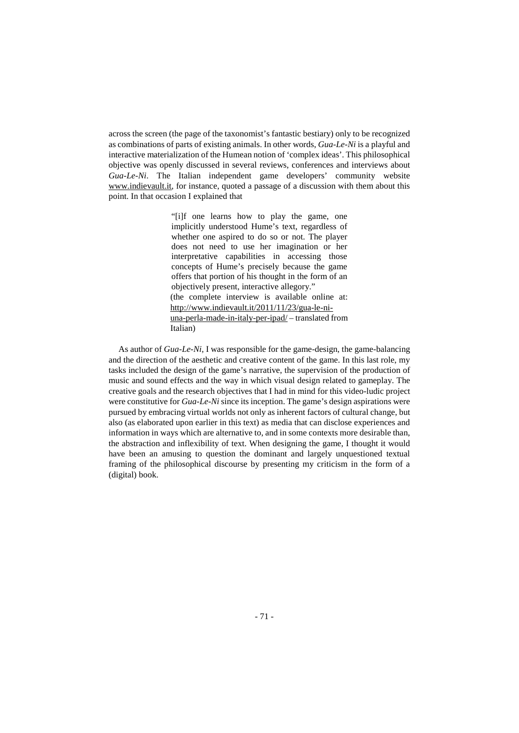across the screen (the page of the taxonomist's fantastic bestiary) only to be recognized as combinations of parts of existing animals. In other words, *Gua-Le-Ni* is a playful and interactive materialization of the Humean notion of 'complex ideas'. This philosophical objective was openly discussed in several reviews, conferences and interviews about *Gua-Le-Ni*. The Italian independent game developers' community website www.indievault.it, for instance, quoted a passage of a discussion with them about this point. In that occasion I explained that

> "[i]f one learns how to play the game, one implicitly understood Hume's text, regardless of whether one aspired to do so or not. The player does not need to use her imagination or her interpretative capabilities in accessing those concepts of Hume's precisely because the game offers that portion of his thought in the form of an objectively present, interactive allegory." (the complete interview is available online at: [http://www.indievault.it/2011/11/23/gua-le-ni](http://www.indievault.it/2011/11/23/gua-le-ni-una-perla-made-in-italy-per-ipad/)[una-perla-made-in-italy-per-ipad/](http://www.indievault.it/2011/11/23/gua-le-ni-una-perla-made-in-italy-per-ipad/) – translated from Italian)

As author of *Gua-Le-Ni*, I was responsible for the game-design, the game-balancing and the direction of the aesthetic and creative content of the game. In this last role, my tasks included the design of the game's narrative, the supervision of the production of music and sound effects and the way in which visual design related to gameplay. The creative goals and the research objectives that I had in mind for this video-ludic project were constitutive for *Gua-Le-Ni* since its inception. The game's design aspirations were pursued by embracing virtual worlds not only as inherent factors of cultural change, but also (as elaborated upon earlier in this text) as media that can disclose experiences and information in ways which are alternative to, and in some contexts more desirable than, the abstraction and inflexibility of text. When designing the game, I thought it would have been an amusing to question the dominant and largely unquestioned textual framing of the philosophical discourse by presenting my criticism in the form of a (digital) book.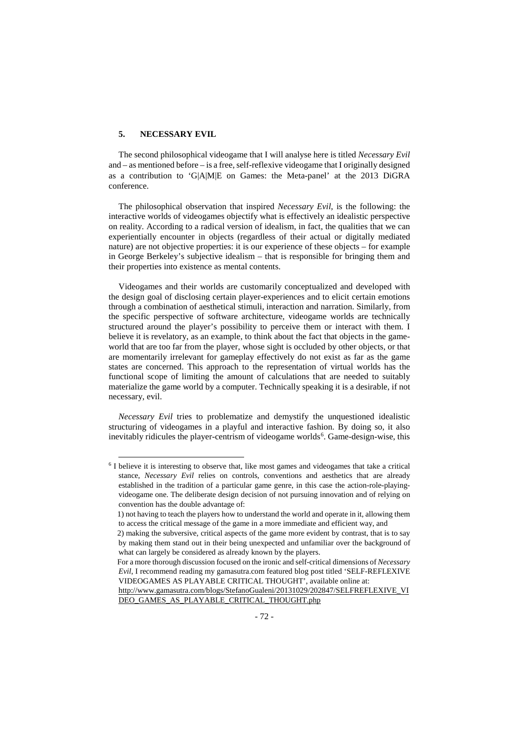## **5. NECESSARY EVIL**

The second philosophical videogame that I will analyse here is titled *Necessary Evil* and – as mentioned before – is a free, self-reflexive videogame that I originally designed as a contribution to 'G|A|M|E on Games: the Meta-panel' at the 2013 DiGRA conference.

The philosophical observation that inspired *Necessary Evil*, is the following: the interactive worlds of videogames objectify what is effectively an idealistic perspective on reality. According to a radical version of idealism, in fact, the qualities that we can experientially encounter in objects (regardless of their actual or digitally mediated nature) are not objective properties: it is our experience of these objects – for example in George Berkeley's subjective idealism – that is responsible for bringing them and their properties into existence as mental contents.

Videogames and their worlds are customarily conceptualized and developed with the design goal of disclosing certain player-experiences and to elicit certain emotions through a combination of aesthetical stimuli, interaction and narration. Similarly, from the specific perspective of software architecture, videogame worlds are technically structured around the player's possibility to perceive them or interact with them. I believe it is revelatory, as an example, to think about the fact that objects in the gameworld that are too far from the player, whose sight is occluded by other objects, or that are momentarily irrelevant for gameplay effectively do not exist as far as the game states are concerned. This approach to the representation of virtual worlds has the functional scope of limiting the amount of calculations that are needed to suitably materialize the game world by a computer. Technically speaking it is a desirable, if not necessary, evil.

*Necessary Evil* tries to problematize and demystify the unquestioned idealistic structuring of videogames in a playful and interactive fashion. By doing so, it also inevitably ridicules the player-centrism of videogame worlds<sup>[6](#page-13-0)</sup>. Game-design-wise, this

<span id="page-13-0"></span> <sup>6</sup> I believe it is interesting to observe that, like most games and videogames that take a critical stance, *Necessary Evil* relies on controls, conventions and aesthetics that are already established in the tradition of a particular game genre, in this case the action-role-playingvideogame one. The deliberate design decision of not pursuing innovation and of relying on convention has the double advantage of:

<sup>1)</sup> not having to teach the players how to understand the world and operate in it, allowing them to access the critical message of the game in a more immediate and efficient way, and

<sup>2)</sup> making the subversive, critical aspects of the game more evident by contrast, that is to say by making them stand out in their being unexpected and unfamiliar over the background of what can largely be considered as already known by the players.

For a more thorough discussion focused on the ironic and self-critical dimensions of *Necessary Evil*, I recommend reading my gamasutra.com featured blog post titled 'SELF-REFLEXIVE VIDEOGAMES AS PLAYABLE CRITICAL THOUGHT', available online at:

http://www.gamasutra.com/blogs/StefanoGualeni/20131029/202847/SELFREFLEXIVE\_VI DEO\_GAMES\_AS\_PLAYABLE\_CRITICAL\_THOUGHT.php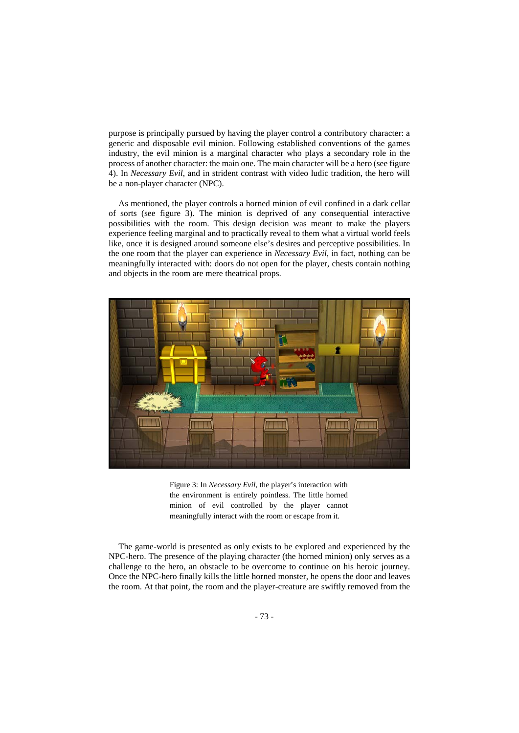purpose is principally pursued by having the player control a contributory character: a generic and disposable evil minion. Following established conventions of the games industry, the evil minion is a marginal character who plays a secondary role in the process of another character: the main one. The main character will be a hero (see figure 4). In *Necessary Evil*, and in strident contrast with video ludic tradition, the hero will be a non-player character (NPC).

As mentioned, the player controls a horned minion of evil confined in a dark cellar of sorts (see figure 3). The minion is deprived of any consequential interactive possibilities with the room. This design decision was meant to make the players experience feeling marginal and to practically reveal to them what a virtual world feels like, once it is designed around someone else's desires and perceptive possibilities. In the one room that the player can experience in *Necessary Evil*, in fact, nothing can be meaningfully interacted with: doors do not open for the player, chests contain nothing and objects in the room are mere theatrical props.



Figure 3: In *Necessary Evil*, the player's interaction with the environment is entirely pointless. The little horned minion of evil controlled by the player cannot meaningfully interact with the room or escape from it.

The game-world is presented as only exists to be explored and experienced by the NPC-hero. The presence of the playing character (the horned minion) only serves as a challenge to the hero, an obstacle to be overcome to continue on his heroic journey. Once the NPC-hero finally kills the little horned monster, he opens the door and leaves the room. At that point, the room and the player-creature are swiftly removed from the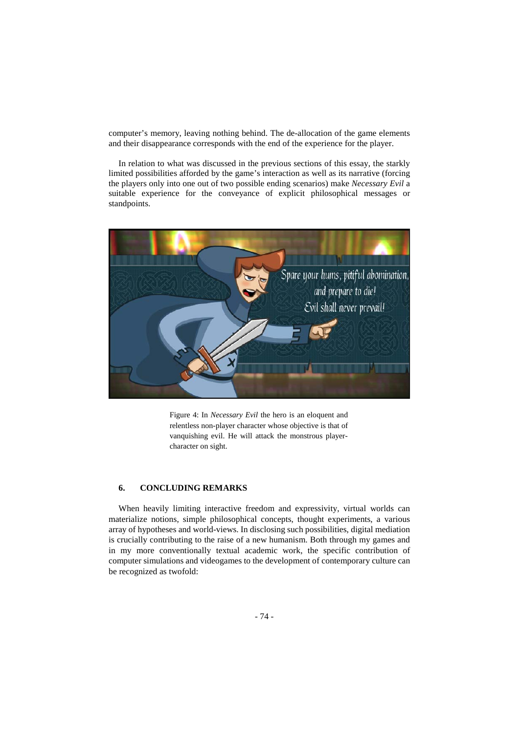computer's memory, leaving nothing behind. The de-allocation of the game elements and their disappearance corresponds with the end of the experience for the player.

In relation to what was discussed in the previous sections of this essay, the starkly limited possibilities afforded by the game's interaction as well as its narrative (forcing the players only into one out of two possible ending scenarios) make *Necessary Evil* a suitable experience for the conveyance of explicit philosophical messages or standpoints.



Figure 4: In *Necessary Evil* the hero is an eloquent and relentless non-player character whose objective is that of vanquishing evil. He will attack the monstrous playercharacter on sight.

### **6. CONCLUDING REMARKS**

When heavily limiting interactive freedom and expressivity, virtual worlds can materialize notions, simple philosophical concepts, thought experiments, a various array of hypotheses and world-views. In disclosing such possibilities, digital mediation is crucially contributing to the raise of a new humanism. Both through my games and in my more conventionally textual academic work, the specific contribution of computer simulations and videogames to the development of contemporary culture can be recognized as twofold: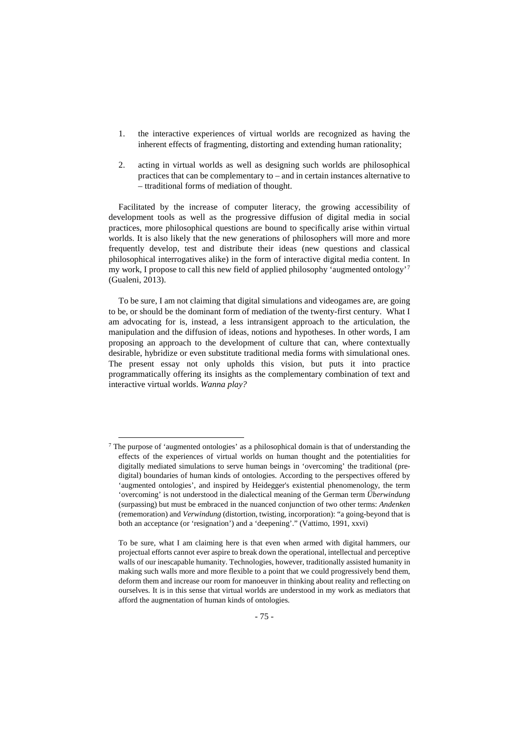- 1. the interactive experiences of virtual worlds are recognized as having the inherent effects of fragmenting, distorting and extending human rationality;
- 2. acting in virtual worlds as well as designing such worlds are philosophical practices that can be complementary to – and in certain instances alternative to – ttraditional forms of mediation of thought.

Facilitated by the increase of computer literacy, the growing accessibility of development tools as well as the progressive diffusion of digital media in social practices, more philosophical questions are bound to specifically arise within virtual worlds. It is also likely that the new generations of philosophers will more and more frequently develop, test and distribute their ideas (new questions and classical philosophical interrogatives alike) in the form of interactive digital media content. In my work, I propose to call this new field of applied philosophy 'augmented ontology'[7](#page-16-0) (Gualeni, 2013).

To be sure, I am not claiming that digital simulations and videogames are, are going to be, or should be the dominant form of mediation of the twenty-first century. What I am advocating for is, instead, a less intransigent approach to the articulation, the manipulation and the diffusion of ideas, notions and hypotheses. In other words, I am proposing an approach to the development of culture that can, where contextually desirable, hybridize or even substitute traditional media forms with simulational ones. The present essay not only upholds this vision, but puts it into practice programmatically offering its insights as the complementary combination of text and interactive virtual worlds. *Wanna play?*

<span id="page-16-0"></span> $<sup>7</sup>$  The purpose of 'augmented ontologies' as a philosophical domain is that of understanding the</sup> effects of the experiences of virtual worlds on human thought and the potentialities for digitally mediated simulations to serve human beings in 'overcoming' the traditional (predigital) boundaries of human kinds of ontologies. According to the perspectives offered by 'augmented ontologies', and inspired by Heidegger's existential phenomenology, the term 'overcoming' is not understood in the dialectical meaning of the German term *Überwindung* (surpassing) but must be embraced in the nuanced conjunction of two other terms: *Andenken* (rememoration) and *Verwindung* (distortion, twisting, incorporation): "a going-beyond that is both an acceptance (or 'resignation') and a 'deepening'." (Vattimo, 1991, xxvi)

To be sure, what I am claiming here is that even when armed with digital hammers, our projectual efforts cannot ever aspire to break down the operational, intellectual and perceptive walls of our inescapable humanity. Technologies, however, traditionally assisted humanity in making such walls more and more flexible to a point that we could progressively bend them, deform them and increase our room for manoeuver in thinking about reality and reflecting on ourselves. It is in this sense that virtual worlds are understood in my work as mediators that afford the augmentation of human kinds of ontologies.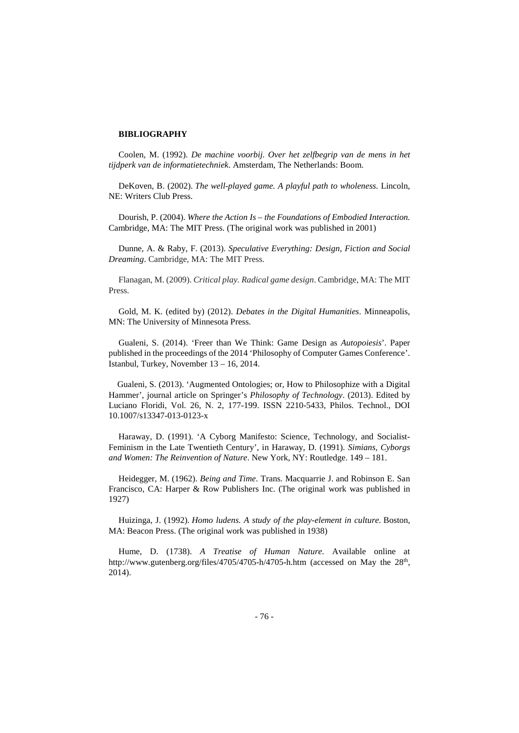#### **BIBLIOGRAPHY**

Coolen, M. (1992). *De machine voorbij. Over het zelfbegrip van de mens in het tijdperk van de informatietechniek*. Amsterdam, The Netherlands: Boom.

DeKoven, B. (2002). *The well-played game. A playful path to wholeness.* Lincoln, NE: Writers Club Press.

Dourish, P. (2004). *Where the Action Is – the Foundations of Embodied Interaction.* Cambridge, MA: The MIT Press. (The original work was published in 2001)

Dunne, A. & Raby, F. (2013). *Speculative Everything: Design, Fiction and Social Dreaming*. Cambridge, MA: The MIT Press.

Flanagan, M. (2009). *Critical play. Radical game design*. Cambridge, MA: The MIT Press.

Gold, M. K. (edited by) (2012). *Debates in the Digital Humanities*. Minneapolis, MN: The University of Minnesota Press.

Gualeni, S. (2014). 'Freer than We Think: Game Design as *Autopoiesis*'. Paper published in the proceedings of the 2014 'Philosophy of Computer Games Conference'. Istanbul, Turkey, November 13 – 16, 2014.

Gualeni, S. (2013). 'Augmented Ontologies; or, How to Philosophize with a Digital Hammer', journal article on Springer's *Philosophy of Technology*. (2013). Edited by Luciano Floridi, Vol. 26, N. 2, 177-199. ISSN 2210-5433, Philos. Technol., DOI 10.1007/s13347-013-0123-x

Haraway, D. (1991). 'A Cyborg Manifesto: Science, Technology, and Socialist-Feminism in the Late Twentieth Century', in Haraway, D. (1991). *Simians, Cyborgs and Women: The Reinvention of Nature*. New York, NY: Routledge. 149 – 181.

Heidegger, M. (1962). *Being and Time*. Trans. Macquarrie J. and Robinson E. San Francisco, CA: Harper & Row Publishers Inc. (The original work was published in 1927)

Huizinga, J. (1992). *Homo ludens. A study of the play-element in culture.* Boston, MA: Beacon Press. (The original work was published in 1938)

Hume, D. (1738). *A Treatise of Human Nature*. Available online at <http://www.gutenberg.org/files/4705/4705-h/4705-h.htm> (accessed on May the 28<sup>th</sup>, 2014).